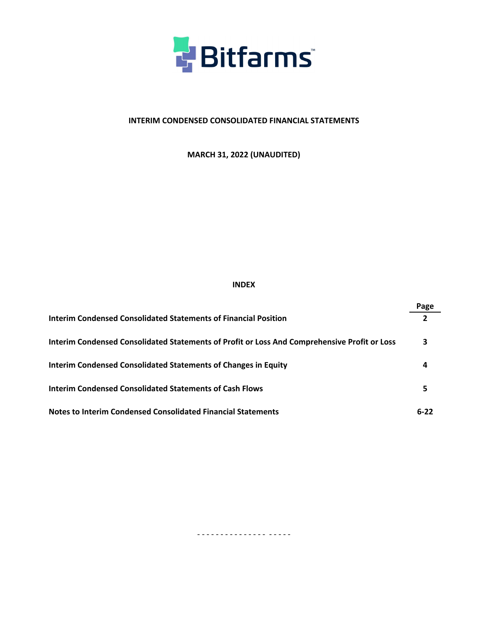

# **INTERIM CONDENSED CONSOLIDATED FINANCIAL STATEMENTS**

**MARCH 31, 2022 (UNAUDITED)**

## **INDEX**

|                                                                                              | Page         |
|----------------------------------------------------------------------------------------------|--------------|
| Interim Condensed Consolidated Statements of Financial Position                              | $\mathbf{z}$ |
| Interim Condensed Consolidated Statements of Profit or Loss And Comprehensive Profit or Loss | З            |
| Interim Condensed Consolidated Statements of Changes in Equity                               |              |
| Interim Condensed Consolidated Statements of Cash Flows                                      |              |
| <b>Notes to Interim Condensed Consolidated Financial Statements</b>                          | $6 - 22$     |

- - - - - - - - - - - - - - - - - - - -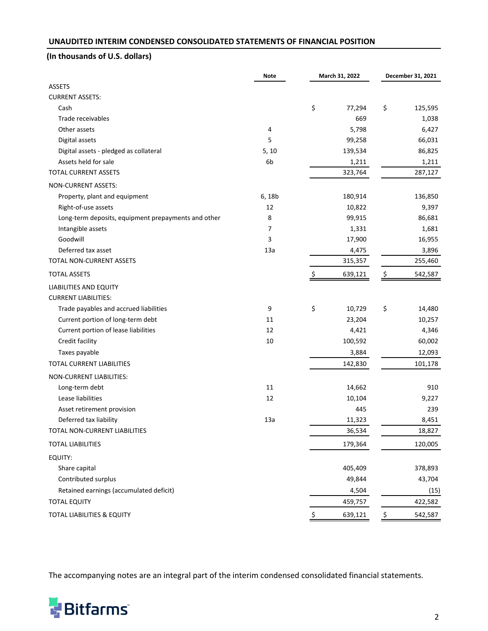## <span id="page-1-0"></span>**UNAUDITED INTERIM CONDENSED CONSOLIDATED STATEMENTS OF FINANCIAL POSITION**

# **(In thousands of U.S. dollars)**

|                                                     | <b>Note</b>    | March 31, 2022 |         | December 31, 2021 |         |
|-----------------------------------------------------|----------------|----------------|---------|-------------------|---------|
| <b>ASSETS</b>                                       |                |                |         |                   |         |
| <b>CURRENT ASSETS:</b>                              |                |                |         |                   |         |
| Cash                                                |                | \$             | 77,294  | \$                | 125,595 |
| Trade receivables                                   |                |                | 669     |                   | 1,038   |
| Other assets                                        | 4              |                | 5,798   |                   | 6,427   |
| Digital assets                                      | 5              |                | 99,258  |                   | 66,031  |
| Digital assets - pledged as collateral              | 5, 10          |                | 139,534 |                   | 86,825  |
| Assets held for sale                                | 6 <sub>b</sub> |                | 1,211   |                   | 1,211   |
| <b>TOTAL CURRENT ASSETS</b>                         |                |                | 323,764 |                   | 287,127 |
| NON-CURRENT ASSETS:                                 |                |                |         |                   |         |
| Property, plant and equipment                       | 6, 18b         |                | 180,914 |                   | 136,850 |
| Right-of-use assets                                 | 12             |                | 10,822  |                   | 9,397   |
| Long-term deposits, equipment prepayments and other | 8              |                | 99,915  |                   | 86,681  |
| Intangible assets                                   | 7              |                | 1,331   |                   | 1,681   |
| Goodwill                                            | 3              |                | 17,900  |                   | 16,955  |
| Deferred tax asset                                  | 13a            |                | 4,475   |                   | 3,896   |
| <b>TOTAL NON-CURRENT ASSETS</b>                     |                |                | 315,357 |                   | 255,460 |
| <b>TOTAL ASSETS</b>                                 |                | S              | 639,121 | \$                | 542,587 |
| <b>LIABILITIES AND EQUITY</b>                       |                |                |         |                   |         |
| <b>CURRENT LIABILITIES:</b>                         |                |                |         |                   |         |
| Trade payables and accrued liabilities              | 9              | \$             | 10,729  | \$                | 14,480  |
| Current portion of long-term debt                   | 11             |                | 23,204  |                   | 10,257  |
| Current portion of lease liabilities                | 12             |                | 4,421   |                   | 4,346   |
| Credit facility                                     | 10             |                | 100,592 |                   | 60,002  |
| Taxes payable                                       |                |                | 3,884   |                   | 12,093  |
| <b>TOTAL CURRENT LIABILITIES</b>                    |                |                | 142,830 |                   | 101,178 |
| NON-CURRENT LIABILITIES:                            |                |                |         |                   |         |
| Long-term debt                                      | 11             |                | 14,662  |                   | 910     |
| Lease liabilities                                   | 12             |                | 10,104  |                   | 9,227   |
| Asset retirement provision                          |                |                | 445     |                   | 239     |
| Deferred tax liability                              | 13a            |                | 11,323  |                   | 8,451   |
| TOTAL NON-CURRENT LIABILITIES                       |                |                | 36,534  |                   | 18,827  |
| <b>TOTAL LIABILITIES</b>                            |                |                | 179,364 |                   | 120,005 |
| EQUITY:                                             |                |                |         |                   |         |
| Share capital                                       |                |                | 405,409 |                   | 378,893 |
| Contributed surplus                                 |                |                | 49,844  |                   | 43,704  |
| Retained earnings (accumulated deficit)             |                |                | 4,504   |                   | (15)    |
| <b>TOTAL EQUITY</b>                                 |                |                | 459,757 |                   | 422,582 |
| TOTAL LIABILITIES & EQUITY                          |                | \$             | 639,121 | \$                | 542,587 |

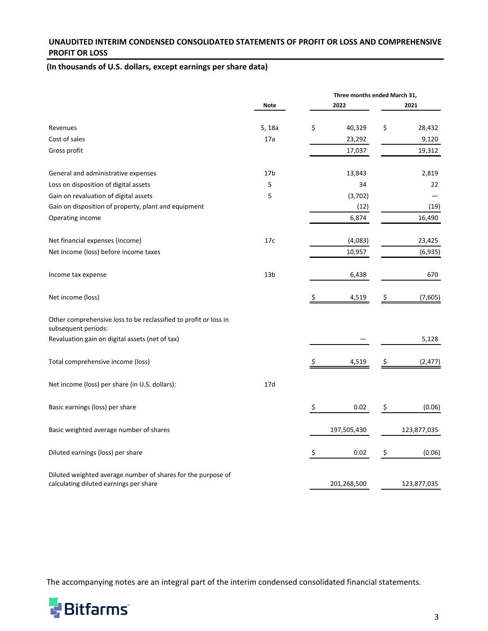## <span id="page-2-0"></span>UNAUDITED INTERIM CONDENSED CONSOLIDATED STATEMENTS OF PROFIT OR LOSS AND COMPREHENSIVE **PROFIT OR LOSS**

# (In thousands of U.S. dollars, except earnings per share data)

|                                                                                                        |                 |    |             | Three months ended March 31, |                 |  |  |
|--------------------------------------------------------------------------------------------------------|-----------------|----|-------------|------------------------------|-----------------|--|--|
|                                                                                                        | <b>Note</b>     |    | 2022        |                              | 2021            |  |  |
|                                                                                                        |                 | \$ | 40,329      | \$                           |                 |  |  |
| Revenues<br>Cost of sales                                                                              | 5, 18a<br>17a   |    | 23,292      |                              | 28,432<br>9,120 |  |  |
|                                                                                                        |                 |    |             |                              | 19,312          |  |  |
| Gross profit                                                                                           |                 |    | 17,037      |                              |                 |  |  |
| General and administrative expenses                                                                    | 17 <sub>b</sub> |    | 13,843      |                              | 2,819           |  |  |
| Loss on disposition of digital assets                                                                  | 5               |    | 34          |                              | 22              |  |  |
| Gain on revaluation of digital assets                                                                  | 5               |    | (3,702)     |                              |                 |  |  |
| Gain on disposition of property, plant and equipment                                                   |                 |    | (12)        |                              | (19)            |  |  |
| Operating income                                                                                       |                 |    | 6,874       |                              | 16,490          |  |  |
| Net financial expenses (income)                                                                        | 17c             |    | (4,083)     |                              | 23,425          |  |  |
| Net income (loss) before income taxes                                                                  |                 |    | 10,957      |                              | (6,935)         |  |  |
|                                                                                                        |                 |    |             |                              |                 |  |  |
| Income tax expense                                                                                     | 13 <sub>b</sub> |    | 6,438       |                              | 670             |  |  |
| Net income (loss)                                                                                      |                 |    | 4,519       |                              | (7,605)         |  |  |
| Other comprehensive loss to be reclassified to profit or loss in<br>subsequent periods:                |                 |    |             |                              |                 |  |  |
| Revaluation gain on digital assets (net of tax)                                                        |                 |    |             |                              | 5,128           |  |  |
| Total comprehensive income (loss)                                                                      |                 | Ş  | 4,519       |                              | (2, 477)        |  |  |
| Net income (loss) per share (in U.S. dollars):                                                         | 17d             |    |             |                              |                 |  |  |
| Basic earnings (loss) per share                                                                        |                 | \$ | 0.02        | \$                           | (0.06)          |  |  |
| Basic weighted average number of shares                                                                |                 |    | 197,505,430 |                              | 123,877,035     |  |  |
| Diluted earnings (loss) per share                                                                      |                 | \$ | 0.02        | \$                           | (0.06)          |  |  |
| Diluted weighted average number of shares for the purpose of<br>calculating diluted earnings per share |                 |    | 201,268,500 |                              | 123,877,035     |  |  |

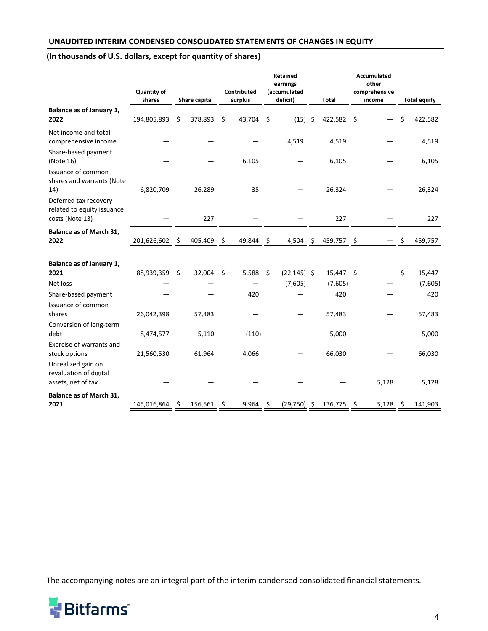### <span id="page-3-0"></span>**UNAUDITED INTERIM CONDENSED CONSOLIDATED STATEMENTS OF CHANGES IN EQUITY**

# (In thousands of U.S. dollars, except for quantity of shares)

|                                                                        | <b>Quantity of</b><br>shares |    | Share capital |    | Contributed<br>surplus |      | <b>Retained</b><br>earnings<br>(accumulated<br>deficit) |      | Total       |     | <b>Accumulated</b><br>other<br>comprehensive<br>income |    | <b>Total equity</b> |
|------------------------------------------------------------------------|------------------------------|----|---------------|----|------------------------|------|---------------------------------------------------------|------|-------------|-----|--------------------------------------------------------|----|---------------------|
| Balance as of January 1,<br>2022                                       | 194,805,893                  | \$ | 378,893       | \$ | 43,704                 | \$   | $(15)$ \$                                               |      | 422,582     | \$  |                                                        | \$ | 422,582             |
| Net income and total<br>comprehensive income                           |                              |    |               |    |                        |      | 4,519                                                   |      | 4,519       |     |                                                        |    | 4,519               |
| Share-based payment<br>(Note 16)                                       |                              |    |               |    | 6,105                  |      |                                                         |      | 6,105       |     |                                                        |    | 6,105               |
| Issuance of common<br>shares and warrants (Note<br>14)                 | 6,820,709                    |    | 26,289        |    | 35                     |      |                                                         |      | 26,324      |     |                                                        |    | 26,324              |
| Deferred tax recovery<br>related to equity issuance<br>costs (Note 13) |                              |    | 227           |    |                        |      |                                                         |      | 227         |     |                                                        |    | 227                 |
| Balance as of March 31,<br>2022                                        | 201,626,602                  | Ş  | 405,409       | \$ | 49,844                 | - \$ | 4,504                                                   | - \$ | 459,757 \$  |     |                                                        |    | 459,757             |
|                                                                        |                              |    |               |    |                        |      |                                                         |      |             |     |                                                        |    |                     |
| Balance as of January 1,<br>2021                                       | 88,939,359                   | \$ | 32,004        | \$ | 5,588                  | - \$ | $(22, 145)$ \$                                          |      | $15,447$ \$ |     |                                                        | \$ | 15,447              |
| Net loss                                                               |                              |    |               |    |                        |      | (7,605)                                                 |      | (7,605)     |     |                                                        |    | (7,605)             |
| Share-based payment                                                    |                              |    |               |    | 420                    |      |                                                         |      | 420         |     |                                                        |    | 420                 |
| Issuance of common<br>shares                                           | 26,042,398                   |    | 57,483        |    |                        |      |                                                         |      | 57,483      |     |                                                        |    | 57,483              |
| Conversion of long-term<br>debt                                        | 8,474,577                    |    | 5,110         |    | (110)                  |      |                                                         |      | 5,000       |     |                                                        |    | 5,000               |
| Exercise of warrants and<br>stock options                              | 21,560,530                   |    | 61,964        |    | 4,066                  |      |                                                         |      | 66,030      |     |                                                        |    | 66,030              |
| Unrealized gain on<br>revaluation of digital<br>assets, net of tax     |                              |    |               |    |                        |      |                                                         |      |             |     | 5,128                                                  |    | 5,128               |
| Balance as of March 31,<br>2021                                        | 145,016,864                  | S  | 156,561       | Ş  | 9,964                  | \$,  | (29,750)                                                | S    | 136,775     | \$, | 5,128                                                  | S  | 141,903             |

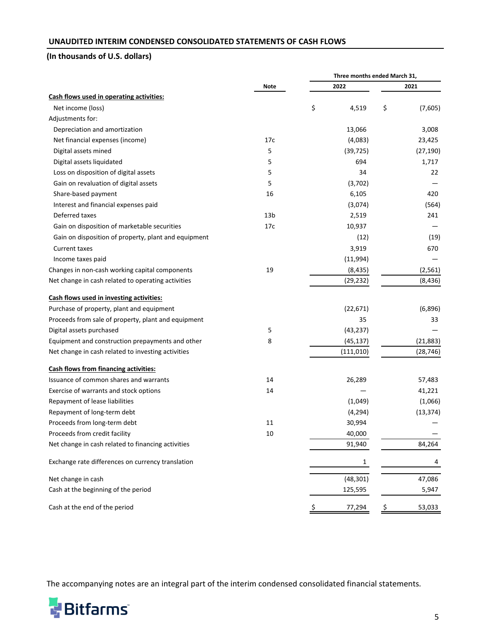## <span id="page-4-0"></span>**UNAUDITED INTERIM CONDENSED CONSOLIDATED STATEMENTS OF CASH FLOWS**

# **(In thousands of U.S. dollars)**

|                                                      |                 |              | Three months ended March 31, |           |  |
|------------------------------------------------------|-----------------|--------------|------------------------------|-----------|--|
|                                                      | <b>Note</b>     | 2022         |                              | 2021      |  |
| Cash flows used in operating activities:             |                 |              |                              |           |  |
| Net income (loss)                                    |                 | \$<br>4,519  | \$                           | (7,605)   |  |
| Adjustments for:                                     |                 |              |                              |           |  |
| Depreciation and amortization                        |                 | 13,066       |                              | 3,008     |  |
| Net financial expenses (income)                      | 17c             | (4,083)      |                              | 23,425    |  |
| Digital assets mined                                 | 5               | (39, 725)    |                              | (27, 190) |  |
| Digital assets liquidated                            | 5               | 694          |                              | 1,717     |  |
| Loss on disposition of digital assets                | 5               | 34           |                              | 22        |  |
| Gain on revaluation of digital assets                | 5               | (3,702)      |                              |           |  |
| Share-based payment                                  | 16              | 6,105        |                              | 420       |  |
| Interest and financial expenses paid                 |                 | (3,074)      |                              | (564)     |  |
| Deferred taxes                                       | 13 <sub>b</sub> | 2,519        |                              | 241       |  |
| Gain on disposition of marketable securities         | 17c             | 10,937       |                              |           |  |
| Gain on disposition of property, plant and equipment |                 | (12)         |                              | (19)      |  |
| <b>Current taxes</b>                                 |                 | 3,919        |                              | 670       |  |
| Income taxes paid                                    |                 | (11,994)     |                              |           |  |
| Changes in non-cash working capital components       | 19              | (8, 435)     |                              | (2, 561)  |  |
| Net change in cash related to operating activities   |                 | (29, 232)    |                              | (8, 436)  |  |
| Cash flows used in investing activities:             |                 |              |                              |           |  |
| Purchase of property, plant and equipment            |                 | (22, 671)    |                              | (6,896)   |  |
| Proceeds from sale of property, plant and equipment  |                 | 35           |                              | 33        |  |
| Digital assets purchased                             | 5               | (43, 237)    |                              |           |  |
| Equipment and construction prepayments and other     | 8               | (45, 137)    |                              | (21, 883) |  |
| Net change in cash related to investing activities   |                 | (111,010)    |                              | (28, 746) |  |
| <b>Cash flows from financing activities:</b>         |                 |              |                              |           |  |
| Issuance of common shares and warrants               | 14              | 26,289       |                              | 57,483    |  |
| Exercise of warrants and stock options               | 14              |              |                              | 41,221    |  |
| Repayment of lease liabilities                       |                 | (1,049)      |                              | (1,066)   |  |
| Repayment of long-term debt                          |                 | (4, 294)     |                              | (13, 374) |  |
| Proceeds from long-term debt                         | 11              | 30,994       |                              |           |  |
| Proceeds from credit facility                        | 10              | 40,000       |                              |           |  |
| Net change in cash related to financing activities   |                 | 91,940       |                              | 84,264    |  |
| Exchange rate differences on currency translation    |                 | 1            |                              | 4         |  |
| Net change in cash                                   |                 | (48, 301)    |                              | 47,086    |  |
| Cash at the beginning of the period                  |                 | 125,595      |                              | 5,947     |  |
| Cash at the end of the period                        |                 | \$<br>77,294 | \$                           | 53,033    |  |

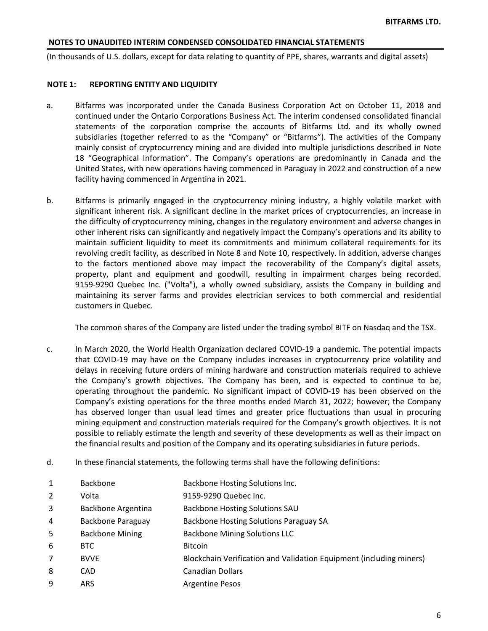<span id="page-5-0"></span>(In thousands of U.S. dollars, except for data relating to quantity of PPE, shares, warrants and digital assets)

### **NOTE 1: REPORTING ENTITY AND LIQUIDITY**

- a. Bitfarms was incorporated under the Canada Business Corporation Act on October 11, 2018 and continued under the Ontario Corporations Business Act. The interim condensed consolidated financial statements of the corporation comprise the accounts of Bitfarms Ltd. and its wholly owned subsidiaries (together referred to as the "Company" or "Bitfarms"). The activities of the Company mainly consist of cryptocurrency mining and are divided into multiple jurisdictions described in Note 18 "Geographical Information". The Company's operations are predominantly in Canada and the United States, with new operations having commenced in Paraguay in 2022 and construction of a new facility having commenced in Argentina in 2021.
- b. Bitfarms is primarily engaged in the cryptocurrency mining industry, a highly volatile market with significant inherent risk. A significant decline in the market prices of cryptocurrencies, an increase in the difficulty of cryptocurrency mining, changes in the regulatory environment and adverse changes in other inherent risks can significantly and negatively impact the Company's operations and its ability to maintain sufficient liquidity to meet its commitments and minimum collateral requirements for its revolving credit facility, as described in Note 8 and Note 10, respectively. In addition, adverse changes to the factors mentioned above may impact the recoverability of the Company's digital assets, property, plant and equipment and goodwill, resulting in impairment charges being recorded. 9159-9290 Quebec Inc. ("Volta"), a wholly owned subsidiary, assists the Company in building and maintaining its server farms and provides electrician services to both commercial and residential customers in Quebec.

The common shares of the Company are listed under the trading symbol BITF on Nasdaq and the TSX.

- c. In March 2020, the World Health Organization declared COVID-19 a pandemic. The potential impacts that COVID-19 may have on the Company includes increases in cryptocurrency price volatility and delays in receiving future orders of mining hardware and construction materials required to achieve the Company's growth objectives. The Company has been, and is expected to continue to be, operating throughout the pandemic. No significant impact of COVID-19 has been observed on the Company's existing operations for the three months ended March 31, 2022; however; the Company has observed longer than usual lead times and greater price fluctuations than usual in procuring mining equipment and construction materials required for the Company's growth objectives. It is not possible to reliably estimate the length and severity of these developments as well as their impact on the financial results and position of the Company and its operating subsidiaries in future periods.
- d. In these financial statements, the following terms shall have the following definitions:
- 1 Backbone Backbone Backbone Hosting Solutions Inc.
- 2 Volta 9159-9290 Quebec Inc.
- 3 Backbone Argentina Backbone Hosting Solutions SAU
- 4 Backbone Paraguay Backbone Hosting Solutions Paraguay SA
- 5 Backbone Mining Backbone Mining Solutions LLC
- 6 BTC Bitcoin
- 7 BVVE BUVE Blockchain Verification and Validation Equipment (including miners)
- 8 CAD CAD Canadian Dollars
- 9 ARS Argentine Pesos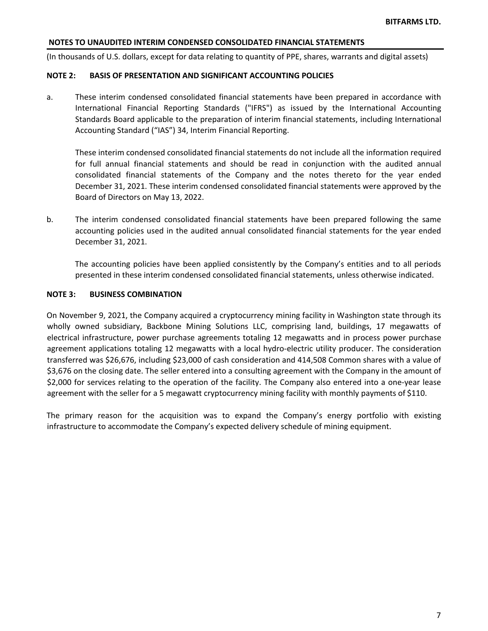(In thousands of U.S. dollars, except for data relating to quantity of PPE, shares, warrants and digital assets)

#### **NOTE 2: BASIS OF PRESENTATION AND SIGNIFICANT ACCOUNTING POLICIES**

a. These interim condensed consolidated financial statements have been prepared in accordance with International Financial Reporting Standards ("IFRS") as issued by the International Accounting Standards Board applicable to the preparation of interim financial statements, including International Accounting Standard ("IAS") 34, Interim Financial Reporting.

These interim condensed consolidated financial statements do not include all the information required for full annual financial statements and should be read in conjunction with the audited annual consolidated financial statements of the Company and the notes thereto for the year ended December 31, 2021. These interim condensed consolidated financial statements were approved by the Board of Directors on May 13, 2022.

b. The interim condensed consolidated financial statements have been prepared following the same accounting policies used in the audited annual consolidated financial statements for the year ended December 31, 2021. 

The accounting policies have been applied consistently by the Company's entities and to all periods presented in these interim condensed consolidated financial statements, unless otherwise indicated.

#### **NOTE 3: BUSINESS COMBINATION**

On November 9, 2021, the Company acquired a cryptocurrency mining facility in Washington state through its wholly owned subsidiary, Backbone Mining Solutions LLC, comprising land, buildings, 17 megawatts of electrical infrastructure, power purchase agreements totaling 12 megawatts and in process power purchase agreement applications totaling 12 megawatts with a local hydro-electric utility producer. The consideration transferred was \$26,676, including \$23,000 of cash consideration and 414,508 Common shares with a value of \$3,676 on the closing date. The seller entered into a consulting agreement with the Company in the amount of \$2,000 for services relating to the operation of the facility. The Company also entered into a one-year lease agreement with the seller for a 5 megawatt cryptocurrency mining facility with monthly payments of \$110.

The primary reason for the acquisition was to expand the Company's energy portfolio with existing infrastructure to accommodate the Company's expected delivery schedule of mining equipment.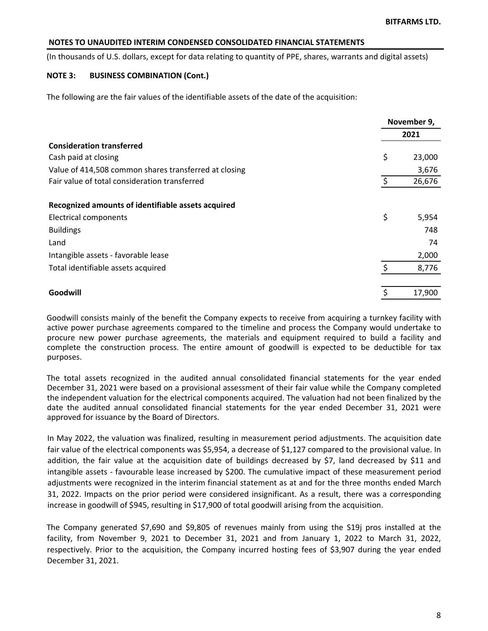(In thousands of U.S. dollars, except for data relating to quantity of PPE, shares, warrants and digital assets)

### **NOTE 3: BUSINESS COMBINATION (Cont.)**

The following are the fair values of the identifiable assets of the date of the acquisition:

|                                                       | November 9, |        |
|-------------------------------------------------------|-------------|--------|
|                                                       |             | 2021   |
| <b>Consideration transferred</b>                      |             |        |
| Cash paid at closing                                  | \$          | 23,000 |
| Value of 414,508 common shares transferred at closing |             | 3,676  |
| Fair value of total consideration transferred         | \$          | 26,676 |
| Recognized amounts of identifiable assets acquired    |             |        |
| Electrical components                                 | \$          | 5,954  |
| <b>Buildings</b>                                      |             | 748    |
| Land                                                  |             | 74     |
| Intangible assets - favorable lease                   |             | 2,000  |
| Total identifiable assets acquired                    | \$          | 8,776  |
| Goodwill                                              | \$          | 17,900 |

Goodwill consists mainly of the benefit the Company expects to receive from acquiring a turnkey facility with active power purchase agreements compared to the timeline and process the Company would undertake to procure new power purchase agreements, the materials and equipment required to build a facility and complete the construction process. The entire amount of goodwill is expected to be deductible for tax purposes.

The total assets recognized in the audited annual consolidated financial statements for the year ended December 31, 2021 were based on a provisional assessment of their fair value while the Company completed the independent valuation for the electrical components acquired. The valuation had not been finalized by the date the audited annual consolidated financial statements for the year ended December 31, 2021 were approved for issuance by the Board of Directors.

In May 2022, the valuation was finalized, resulting in measurement period adjustments. The acquisition date fair value of the electrical components was \$5,954, a decrease of \$1,127 compared to the provisional value. In addition, the fair value at the acquisition date of buildings decreased by \$7, land decreased by \$11 and intangible assets - favourable lease increased by \$200. The cumulative impact of these measurement period adjustments were recognized in the interim financial statement as at and for the three months ended March 31, 2022. Impacts on the prior period were considered insignificant. As a result, there was a corresponding increase in goodwill of \$945, resulting in \$17,900 of total goodwill arising from the acquisition.

The Company generated \$7,690 and \$9,805 of revenues mainly from using the \$19j pros installed at the facility, from November 9, 2021 to December 31, 2021 and from January 1, 2022 to March 31, 2022, respectively. Prior to the acquisition, the Company incurred hosting fees of \$3,907 during the year ended December 31, 2021.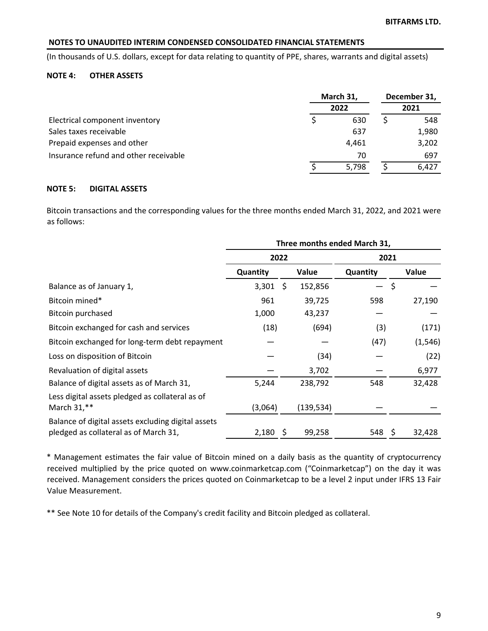(In thousands of U.S. dollars, except for data relating to quantity of PPE, shares, warrants and digital assets)

## **NOTE 4: OTHER ASSETS**

|                                       | March 31, |  | December 31, |
|---------------------------------------|-----------|--|--------------|
|                                       | 2022      |  | 2021         |
| Electrical component inventory        | 630       |  | 548          |
| Sales taxes receivable                | 637       |  | 1,980        |
| Prepaid expenses and other            | 4.461     |  | 3,202        |
| Insurance refund and other receivable | 70        |  | 697          |
|                                       | 5.798     |  | 6.427        |

## **NOTE 5: DIGITAL ASSETS**

Bitcoin transactions and the corresponding values for the three months ended March 31, 2022, and 2021 were as follows:

|                                                                                             |            |      |           | Three months ended March 31, |                    |          |
|---------------------------------------------------------------------------------------------|------------|------|-----------|------------------------------|--------------------|----------|
|                                                                                             |            | 2022 |           | 2021                         |                    |          |
|                                                                                             | Quantity   |      | Value     | Quantity                     |                    | Value    |
| Balance as of January 1,                                                                    | 3,301      | -\$  | 152,856   |                              | $\ddot{\varsigma}$ |          |
| Bitcoin mined*                                                                              | 961        |      | 39,725    | 598                          |                    | 27,190   |
| Bitcoin purchased                                                                           | 1,000      |      | 43,237    |                              |                    |          |
| Bitcoin exchanged for cash and services                                                     | (18)       |      | (694)     | (3)                          |                    | (171)    |
| Bitcoin exchanged for long-term debt repayment                                              |            |      |           | (47)                         |                    | (1, 546) |
| Loss on disposition of Bitcoin                                                              |            |      | (34)      |                              |                    | (22)     |
| Revaluation of digital assets                                                               |            |      | 3,702     |                              |                    | 6,977    |
| Balance of digital assets as of March 31,                                                   | 5,244      |      | 238,792   | 548                          |                    | 32,428   |
| Less digital assets pledged as collateral as of<br>March 31,**                              | (3,064)    |      | (139,534) |                              |                    |          |
| Balance of digital assets excluding digital assets<br>pledged as collateral as of March 31, | $2,180$ \$ |      | 99,258    | 548                          | S                  | 32,428   |

\* Management estimates the fair value of Bitcoin mined on a daily basis as the quantity of cryptocurrency received multiplied by the price quoted on www.coinmarketcap.com ("Coinmarketcap") on the day it was received. Management considers the prices quoted on Coinmarketcap to be a level 2 input under IFRS 13 Fair Value Measurement.

\*\* See Note 10 for details of the Company's credit facility and Bitcoin pledged as collateral.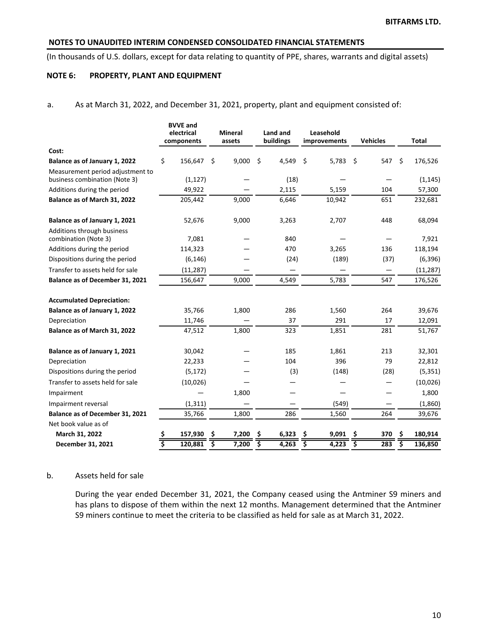(In thousands of U.S. dollars, except for data relating to quantity of PPE, shares, warrants and digital assets)

## **NOTE 6: PROPERTY, PLANT AND EQUIPMENT**

a. As at March 31, 2022, and December 31, 2021, property, plant and equipment consisted of:

|                                                    |    | <b>BVVE and</b><br>electrical<br>components |    | <b>Mineral</b><br>assets |    | Land and<br>buildings |                                     | Leasehold<br>improvements |      | <b>Vehicles</b> | <b>Total</b>  |
|----------------------------------------------------|----|---------------------------------------------|----|--------------------------|----|-----------------------|-------------------------------------|---------------------------|------|-----------------|---------------|
| Cost:                                              |    |                                             |    |                          |    |                       |                                     |                           |      |                 |               |
| Balance as of January 1, 2022                      | \$ | 156,647                                     | S. | 9,000                    | \$ | 4,549                 | \$                                  | 5,783                     | - \$ | 547             | \$<br>176,526 |
| Measurement period adjustment to                   |    |                                             |    |                          |    |                       |                                     |                           |      |                 |               |
| business combination (Note 3)                      |    | (1, 127)                                    |    |                          |    | (18)                  |                                     |                           |      |                 | (1, 145)      |
| Additions during the period                        |    | 49,922                                      |    |                          |    | 2,115                 |                                     | 5,159                     |      | 104             | 57,300        |
| Balance as of March 31, 2022                       |    | 205,442                                     |    | 9,000                    |    | 6,646                 |                                     | 10,942                    |      | 651             | 232,681       |
| Balance as of January 1, 2021                      |    | 52,676                                      |    | 9,000                    |    | 3,263                 |                                     | 2,707                     |      | 448             | 68,094        |
| Additions through business<br>combination (Note 3) |    | 7,081                                       |    |                          |    | 840                   |                                     |                           |      |                 | 7,921         |
| Additions during the period                        |    | 114,323                                     |    |                          |    | 470                   |                                     | 3,265                     |      | 136             | 118,194       |
| Dispositions during the period                     |    | (6, 146)                                    |    |                          |    | (24)                  |                                     | (189)                     |      | (37)            | (6, 396)      |
| Transfer to assets held for sale                   |    | (11, 287)                                   |    |                          |    | —                     |                                     |                           |      |                 | (11, 287)     |
| Balance as of December 31, 2021                    |    | 156,647                                     |    | 9,000                    |    | 4,549                 |                                     | 5,783                     |      | 547             | 176,526       |
| <b>Accumulated Depreciation:</b>                   |    |                                             |    |                          |    |                       |                                     |                           |      |                 |               |
| Balance as of January 1, 2022                      |    | 35,766                                      |    | 1,800                    |    | 286                   |                                     | 1,560                     |      | 264             | 39,676        |
| Depreciation                                       |    | 11,746                                      |    |                          |    | 37                    |                                     | 291                       |      | 17              | 12,091        |
| Balance as of March 31, 2022                       |    | 47,512                                      |    | 1,800                    |    | 323                   |                                     | 1,851                     |      | 281             | 51,767        |
| Balance as of January 1, 2021                      |    | 30,042                                      |    |                          |    | 185                   |                                     | 1,861                     |      | 213             | 32,301        |
| Depreciation                                       |    | 22,233                                      |    |                          |    | 104                   |                                     | 396                       |      | 79              | 22,812        |
| Dispositions during the period                     |    | (5, 172)                                    |    |                          |    | (3)                   |                                     | (148)                     |      | (28)            | (5, 351)      |
| Transfer to assets held for sale                   |    | (10, 026)                                   |    |                          |    |                       |                                     |                           |      |                 | (10,026)      |
| Impairment                                         |    |                                             |    | 1,800                    |    |                       |                                     |                           |      |                 | 1,800         |
| Impairment reversal                                |    | (1, 311)                                    |    |                          |    |                       |                                     | (549)                     |      |                 | (1,860)       |
| Balance as of December 31, 2021                    |    | 35,766                                      |    | 1,800                    |    | 286                   |                                     | 1,560                     |      | 264             | 39,676        |
| Net book value as of                               |    |                                             |    |                          |    |                       |                                     |                           |      |                 |               |
| March 31, 2022                                     | \$ | 157,930                                     | \$ | 7,200                    | \$ | 6,323                 | S                                   | 9,091                     | \$   | 370             | \$<br>180,914 |
| December 31, 2021                                  | -2 | 120,881                                     | \$ | 7,200                    | ड़ | 4,263                 | $\overline{\boldsymbol{\varsigma}}$ | 4,223                     | इ    | 283             | \$<br>136,850 |

### b. Assets held for sale

During the year ended December 31, 2021, the Company ceased using the Antminer S9 miners and has plans to dispose of them within the next 12 months. Management determined that the Antminer S9 miners continue to meet the criteria to be classified as held for sale as at March 31, 2022.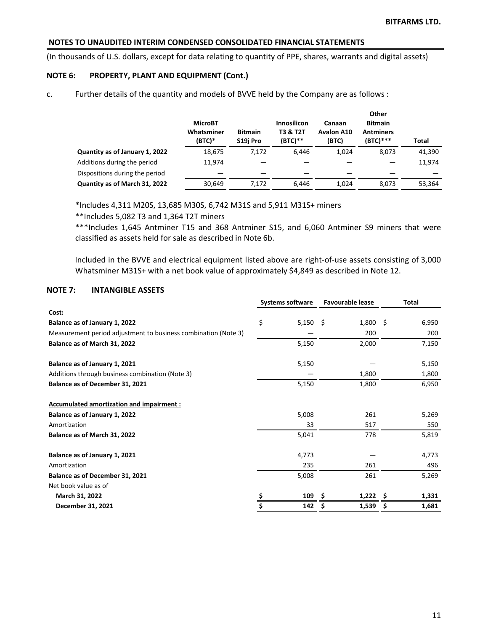(In thousands of U.S. dollars, except for data relating to quantity of PPE, shares, warrants and digital assets)

### **NOTE 6: PROPERTY, PLANT AND EQUIPMENT (Cont.)**

c. Further details of the quantity and models of BVVE held by the Company are as follows :

|                                | <b>MicroBT</b><br>Whatsminer<br>(BTC)* | <b>Bitmain</b><br>S19i Pro | Innosilicon<br><b>T3 &amp; T2T</b><br>$(BTC)**$ | Canaan<br><b>Avalon A10</b><br>(BTC) | Other<br><b>Bitmain</b><br><b>Antminers</b><br>$(BTC)***$ | <b>Total</b> |
|--------------------------------|----------------------------------------|----------------------------|-------------------------------------------------|--------------------------------------|-----------------------------------------------------------|--------------|
| Quantity as of January 1, 2022 | 18,675                                 | 7.172                      | 6.446                                           | 1,024                                | 8,073                                                     | 41,390       |
| Additions during the period    | 11.974                                 |                            |                                                 |                                      |                                                           | 11,974       |
| Dispositions during the period |                                        |                            |                                                 |                                      |                                                           |              |
| Quantity as of March 31, 2022  | 30,649                                 | 7.172                      | 6.446                                           | 1,024                                | 8.073                                                     | 53,364       |

 $*$ Includes 4,311 M20S, 13,685 M30S, 6,742 M31S and 5,911 M31S+ miners

\*\*Includes 5,082 T3 and 1,364 T2T miners

\*\*\*Includes 1,645 Antminer T15 and 368 Antminer S15, and 6,060 Antminer S9 miners that were classified as assets held for sale as described in Note 6b.

Included in the BVVE and electrical equipment listed above are right-of-use assets consisting of 3,000 Whatsminer M31S+ with a net book value of approximately \$4,849 as described in Note 12.

### **NOTE 7: INTANGIBLE ASSETS**

| \$<br>$5,150$ \$<br>$1,800$ \$<br>6,950<br>Balance as of January 1, 2022<br>Measurement period adjustment to business combination (Note 3)<br>200<br>200<br>Balance as of March 31, 2022<br>5,150<br>2,000<br>7,150<br>Balance as of January 1, 2021<br>5,150<br>5,150<br>Additions through business combination (Note 3)<br>1,800<br>1,800<br>5,150<br>Balance as of December 31, 2021<br>1,800<br>6,950<br>Accumulated amortization and impairment :<br>5,008<br>5,269<br>Balance as of January 1, 2022<br>261<br>33<br>517<br>550<br>5,041<br>5,819<br>Balance as of March 31, 2022<br>778<br>Balance as of January 1, 2021<br>4,773<br>4,773<br>235<br>261<br>496<br>5,008<br>Balance as of December 31, 2021<br>261<br>5,269<br>Net book value as of<br>109<br>1,222<br>March 31, 2022<br>\$.<br>1,331<br>S<br>1,539<br>December 31, 2021<br>142<br>1,681<br>S<br>S |              |  | <b>Systems software</b> | <b>Favourable lease</b> | <b>Total</b> |  |
|--------------------------------------------------------------------------------------------------------------------------------------------------------------------------------------------------------------------------------------------------------------------------------------------------------------------------------------------------------------------------------------------------------------------------------------------------------------------------------------------------------------------------------------------------------------------------------------------------------------------------------------------------------------------------------------------------------------------------------------------------------------------------------------------------------------------------------------------------------------------------|--------------|--|-------------------------|-------------------------|--------------|--|
|                                                                                                                                                                                                                                                                                                                                                                                                                                                                                                                                                                                                                                                                                                                                                                                                                                                                          | Cost:        |  |                         |                         |              |  |
|                                                                                                                                                                                                                                                                                                                                                                                                                                                                                                                                                                                                                                                                                                                                                                                                                                                                          |              |  |                         |                         |              |  |
|                                                                                                                                                                                                                                                                                                                                                                                                                                                                                                                                                                                                                                                                                                                                                                                                                                                                          |              |  |                         |                         |              |  |
|                                                                                                                                                                                                                                                                                                                                                                                                                                                                                                                                                                                                                                                                                                                                                                                                                                                                          |              |  |                         |                         |              |  |
|                                                                                                                                                                                                                                                                                                                                                                                                                                                                                                                                                                                                                                                                                                                                                                                                                                                                          |              |  |                         |                         |              |  |
|                                                                                                                                                                                                                                                                                                                                                                                                                                                                                                                                                                                                                                                                                                                                                                                                                                                                          |              |  |                         |                         |              |  |
|                                                                                                                                                                                                                                                                                                                                                                                                                                                                                                                                                                                                                                                                                                                                                                                                                                                                          |              |  |                         |                         |              |  |
|                                                                                                                                                                                                                                                                                                                                                                                                                                                                                                                                                                                                                                                                                                                                                                                                                                                                          |              |  |                         |                         |              |  |
|                                                                                                                                                                                                                                                                                                                                                                                                                                                                                                                                                                                                                                                                                                                                                                                                                                                                          |              |  |                         |                         |              |  |
|                                                                                                                                                                                                                                                                                                                                                                                                                                                                                                                                                                                                                                                                                                                                                                                                                                                                          | Amortization |  |                         |                         |              |  |
|                                                                                                                                                                                                                                                                                                                                                                                                                                                                                                                                                                                                                                                                                                                                                                                                                                                                          |              |  |                         |                         |              |  |
|                                                                                                                                                                                                                                                                                                                                                                                                                                                                                                                                                                                                                                                                                                                                                                                                                                                                          |              |  |                         |                         |              |  |
|                                                                                                                                                                                                                                                                                                                                                                                                                                                                                                                                                                                                                                                                                                                                                                                                                                                                          | Amortization |  |                         |                         |              |  |
|                                                                                                                                                                                                                                                                                                                                                                                                                                                                                                                                                                                                                                                                                                                                                                                                                                                                          |              |  |                         |                         |              |  |
|                                                                                                                                                                                                                                                                                                                                                                                                                                                                                                                                                                                                                                                                                                                                                                                                                                                                          |              |  |                         |                         |              |  |
|                                                                                                                                                                                                                                                                                                                                                                                                                                                                                                                                                                                                                                                                                                                                                                                                                                                                          |              |  |                         |                         |              |  |
|                                                                                                                                                                                                                                                                                                                                                                                                                                                                                                                                                                                                                                                                                                                                                                                                                                                                          |              |  |                         |                         |              |  |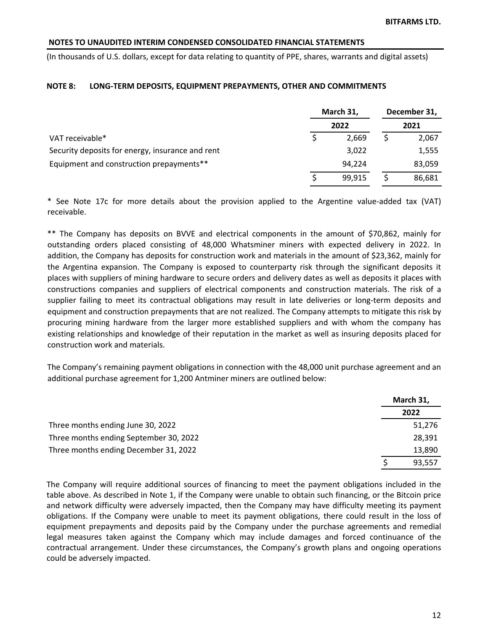(In thousands of U.S. dollars, except for data relating to quantity of PPE, shares, warrants and digital assets)

#### **NOTE 8: LONG-TERM DEPOSITS, EQUIPMENT PREPAYMENTS, OTHER AND COMMITMENTS**

|                                                  | March 31, | December 31,<br>2021 |  |        |
|--------------------------------------------------|-----------|----------------------|--|--------|
|                                                  |           |                      |  |        |
| VAT receivable*                                  |           | 2,669                |  | 2,067  |
| Security deposits for energy, insurance and rent |           | 3,022                |  | 1,555  |
| Equipment and construction prepayments**         |           | 94.224               |  | 83,059 |
|                                                  |           | 99,915               |  | 86,681 |

\* See Note 17c for more details about the provision applied to the Argentine value-added tax (VAT) receivable. 

\*\* The Company has deposits on BVVE and electrical components in the amount of \$70,862, mainly for outstanding orders placed consisting of 48,000 Whatsminer miners with expected delivery in 2022. In addition, the Company has deposits for construction work and materials in the amount of \$23,362, mainly for the Argentina expansion. The Company is exposed to counterparty risk through the significant deposits it places with suppliers of mining hardware to secure orders and delivery dates as well as deposits it places with constructions companies and suppliers of electrical components and construction materials. The risk of a supplier failing to meet its contractual obligations may result in late deliveries or long-term deposits and equipment and construction prepayments that are not realized. The Company attempts to mitigate this risk by procuring mining hardware from the larger more established suppliers and with whom the company has existing relationships and knowledge of their reputation in the market as well as insuring deposits placed for construction work and materials.

The Company's remaining payment obligations in connection with the 48,000 unit purchase agreement and an additional purchase agreement for 1,200 Antminer miners are outlined below:

|                                        | March 31, |
|----------------------------------------|-----------|
|                                        | 2022      |
| Three months ending June 30, 2022      | 51,276    |
| Three months ending September 30, 2022 | 28,391    |
| Three months ending December 31, 2022  | 13,890    |
|                                        | 93.557    |

The Company will require additional sources of financing to meet the payment obligations included in the table above. As described in Note 1, if the Company were unable to obtain such financing, or the Bitcoin price and network difficulty were adversely impacted, then the Company may have difficulty meeting its payment obligations. If the Company were unable to meet its payment obligations, there could result in the loss of equipment prepayments and deposits paid by the Company under the purchase agreements and remedial legal measures taken against the Company which may include damages and forced continuance of the contractual arrangement. Under these circumstances, the Company's growth plans and ongoing operations could be adversely impacted.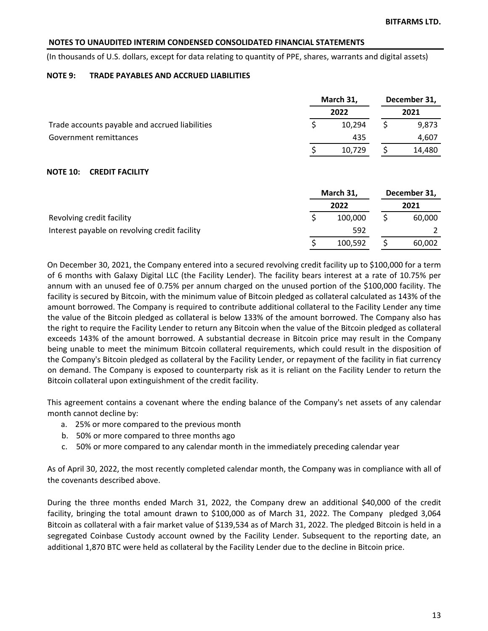(In thousands of U.S. dollars, except for data relating to quantity of PPE, shares, warrants and digital assets)

#### **NOTE 9: TRADE PAYABLES AND ACCRUED LIABILITIES**

|                                                | March 31, |        | December 31, |        |
|------------------------------------------------|-----------|--------|--------------|--------|
|                                                |           | 2022   |              | 2021   |
| Trade accounts payable and accrued liabilities |           | 10.294 |              | 9.873  |
| Government remittances                         |           | 435    |              | 4.607  |
|                                                |           | 10.729 |              | 14,480 |

### **NOTE 10: CREDIT FACILITY**

|                                               | March 31, |         | December 31, |        |
|-----------------------------------------------|-----------|---------|--------------|--------|
|                                               |           | 2022    |              | 2021   |
| Revolving credit facility                     |           | 100.000 |              | 60,000 |
| Interest payable on revolving credit facility |           | 592     |              |        |
|                                               |           | 100,592 |              | 60,002 |

On December 30, 2021, the Company entered into a secured revolving credit facility up to \$100,000 for a term of 6 months with Galaxy Digital LLC (the Facility Lender). The facility bears interest at a rate of 10.75% per annum with an unused fee of 0.75% per annum charged on the unused portion of the \$100,000 facility. The facility is secured by Bitcoin, with the minimum value of Bitcoin pledged as collateral calculated as 143% of the amount borrowed. The Company is required to contribute additional collateral to the Facility Lender any time the value of the Bitcoin pledged as collateral is below 133% of the amount borrowed. The Company also has the right to require the Facility Lender to return any Bitcoin when the value of the Bitcoin pledged as collateral exceeds 143% of the amount borrowed. A substantial decrease in Bitcoin price may result in the Company being unable to meet the minimum Bitcoin collateral requirements, which could result in the disposition of the Company's Bitcoin pledged as collateral by the Facility Lender, or repayment of the facility in fiat currency on demand. The Company is exposed to counterparty risk as it is reliant on the Facility Lender to return the Bitcoin collateral upon extinguishment of the credit facility.

This agreement contains a covenant where the ending balance of the Company's net assets of any calendar month cannot decline by:

- a. 25% or more compared to the previous month
- b. 50% or more compared to three months ago
- c. 50% or more compared to any calendar month in the immediately preceding calendar year

As of April 30, 2022, the most recently completed calendar month, the Company was in compliance with all of the covenants described above.

During the three months ended March 31, 2022, the Company drew an additional \$40,000 of the credit facility, bringing the total amount drawn to \$100,000 as of March 31, 2022. The Company pledged 3,064 Bitcoin as collateral with a fair market value of \$139,534 as of March 31, 2022. The pledged Bitcoin is held in a segregated Coinbase Custody account owned by the Facility Lender. Subsequent to the reporting date, an additional 1,870 BTC were held as collateral by the Facility Lender due to the decline in Bitcoin price.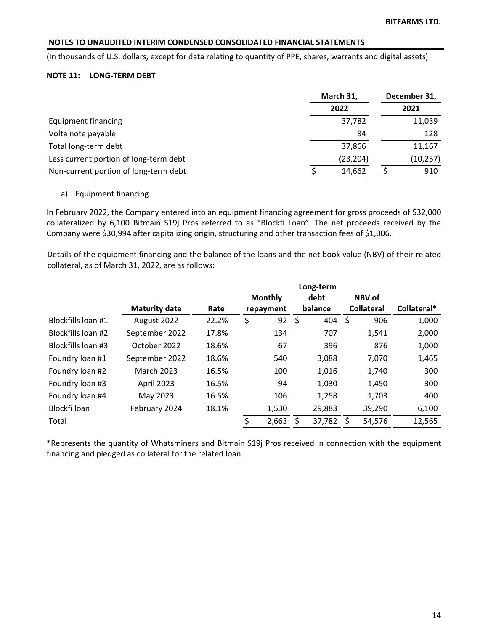(In thousands of U.S. dollars, except for data relating to quantity of PPE, shares, warrants and digital assets)

### **NOTE 11: LONG-TERM DEBT**

|                                        | March 31, | December 31, |
|----------------------------------------|-----------|--------------|
|                                        | 2022      | 2021         |
| Equipment financing                    | 37,782    | 11,039       |
| Volta note payable                     | 84        | 128          |
| Total long-term debt                   | 37,866    | 11,167       |
| Less current portion of long-term debt | (23, 204) | (10, 257)    |
| Non-current portion of long-term debt  | 14,662    | 910          |

#### a) Equipment financing

In February 2022, the Company entered into an equipment financing agreement for gross proceeds of \$32,000 collateralized by 6,100 Bitmain S19j Pros referred to as "Blockfi Loan". The net proceeds received by the Company were \$30,994 after capitalizing origin, structuring and other transaction fees of \$1,006.

Details of the equipment financing and the balance of the loans and the net book value (NBV) of their related collateral, as of March 31, 2022, are as follows:

|                    |                      |       | Long-term |                |    |         |      |                   |             |
|--------------------|----------------------|-------|-----------|----------------|----|---------|------|-------------------|-------------|
|                    |                      |       |           | <b>Monthly</b> |    | debt    |      | NBV of            |             |
|                    | <b>Maturity date</b> | Rate  |           | repayment      |    | balance |      | <b>Collateral</b> | Collateral* |
| Blockfills loan #1 | August 2022          | 22.2% | \$        | 92             | \$ | 404     | - \$ | 906               | 1,000       |
| Blockfills loan #2 | September 2022       | 17.8% |           | 134            |    | 707     |      | 1,541             | 2,000       |
| Blockfills loan #3 | October 2022         | 18.6% |           | 67             |    | 396     |      | 876               | 1,000       |
| Foundry loan #1    | September 2022       | 18.6% |           | 540            |    | 3,088   |      | 7,070             | 1,465       |
| Foundry loan #2    | <b>March 2023</b>    | 16.5% |           | 100            |    | 1,016   |      | 1,740             | 300         |
| Foundry loan #3    | April 2023           | 16.5% |           | 94             |    | 1,030   |      | 1,450             | 300         |
| Foundry loan #4    | May 2023             | 16.5% |           | 106            |    | 1,258   |      | 1,703             | 400         |
| Blockfi loan       | February 2024        | 18.1% |           | 1,530          |    | 29,883  |      | 39,290            | 6,100       |
| Total              |                      |       | Ś         | 2,663          |    | 37,782  | S    | 54,576            | 12,565      |
|                    |                      |       |           |                |    |         |      |                   |             |

\*Represents the quantity of Whatsminers and Bitmain S19j Pros received in connection with the equipment financing and pledged as collateral for the related loan.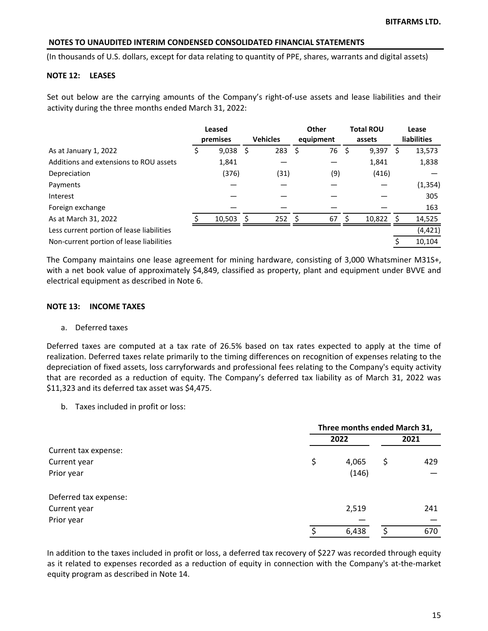(In thousands of U.S. dollars, except for data relating to quantity of PPE, shares, warrants and digital assets)

### **NOTE 12: LEASES**

Set out below are the carrying amounts of the Company's right-of-use assets and lease liabilities and their activity during the three months ended March 31, 2022:

|                                           | Leased<br>premises |      | <b>Vehicles</b> |               | <b>Other</b><br>equipment |     | <b>Total ROU</b><br>assets |          | Lease<br>liabilities |
|-------------------------------------------|--------------------|------|-----------------|---------------|---------------------------|-----|----------------------------|----------|----------------------|
| As at January 1, 2022                     | \$<br>9,038        | - \$ | 283             | S             | 76                        | - Ś | 9,397                      | S        | 13,573               |
| Additions and extensions to ROU assets    | 1,841              |      |                 |               |                           |     | 1,841                      |          | 1,838                |
| Depreciation                              | (376)              |      | (31)            |               | (9)                       |     | (416)                      |          |                      |
| Payments                                  |                    |      |                 |               |                           |     |                            |          | (1, 354)             |
| Interest                                  |                    |      |                 |               |                           |     |                            |          | 305                  |
| Foreign exchange                          |                    |      |                 |               |                           |     |                            |          | 163                  |
| As at March 31, 2022                      | 10,503             | - \$ | 252             | <sup>\$</sup> | 67                        | -Ś  | 10,822                     | <b>S</b> | 14,525               |
| Less current portion of lease liabilities |                    |      |                 |               |                           |     |                            |          | (4, 421)             |
| Non-current portion of lease liabilities  |                    |      |                 |               |                           |     |                            |          | 10,104               |

The Company maintains one lease agreement for mining hardware, consisting of 3,000 Whatsminer M31S+, with a net book value of approximately \$4,849, classified as property, plant and equipment under BVVE and electrical equipment as described in Note 6.

#### **NOTE 13: INCOME TAXES**

#### a. Deferred taxes

Deferred taxes are computed at a tax rate of 26.5% based on tax rates expected to apply at the time of realization. Deferred taxes relate primarily to the timing differences on recognition of expenses relating to the depreciation of fixed assets, loss carryforwards and professional fees relating to the Company's equity activity that are recorded as a reduction of equity. The Company's deferred tax liability as of March 31, 2022 was \$11,323 and its deferred tax asset was \$4,475.

b. Taxes included in profit or loss:

|                       | Three months ended March 31, |       |    |      |  |
|-----------------------|------------------------------|-------|----|------|--|
|                       |                              | 2022  |    | 2021 |  |
| Current tax expense:  |                              |       |    |      |  |
| Current year          | \$                           | 4,065 | \$ | 429  |  |
| Prior year            |                              | (146) |    |      |  |
| Deferred tax expense: |                              |       |    |      |  |
| Current year          |                              | 2,519 |    | 241  |  |
| Prior year            |                              |       |    |      |  |
|                       | \$                           | 6,438 |    | 670  |  |

In addition to the taxes included in profit or loss, a deferred tax recovery of \$227 was recorded through equity as it related to expenses recorded as a reduction of equity in connection with the Company's at-the-market equity program as described in Note 14.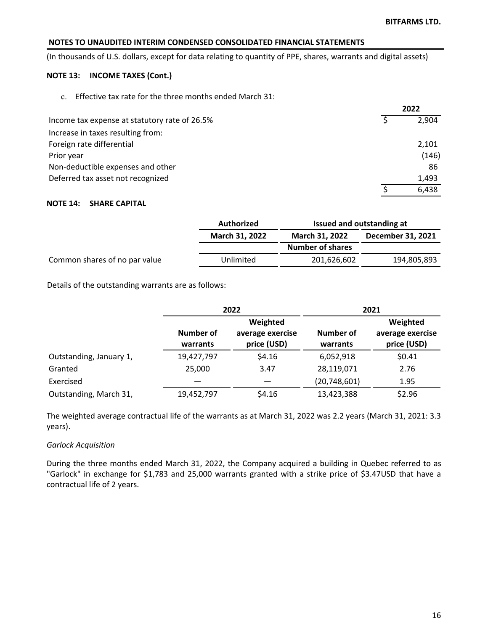(In thousands of U.S. dollars, except for data relating to quantity of PPE, shares, warrants and digital assets)

## **NOTE 13: INCOME TAXES (Cont.)**

c. Effective tax rate for the three months ended March 31:

|                                               | 2022  |  |
|-----------------------------------------------|-------|--|
| Income tax expense at statutory rate of 26.5% | 2.904 |  |
| Increase in taxes resulting from:             |       |  |
| Foreign rate differential                     | 2,101 |  |
| Prior year                                    | (146) |  |
| Non-deductible expenses and other             | 86    |  |
| Deferred tax asset not recognized             | 1,493 |  |
|                                               | 6,438 |  |

## **NOTE 14: SHARE CAPITAL**

|                               | Authorized            |                                            | Issued and outstanding at |  |  |
|-------------------------------|-----------------------|--------------------------------------------|---------------------------|--|--|
|                               | <b>March 31, 2022</b> | <b>March 31, 2022</b><br>December 31, 2021 |                           |  |  |
|                               |                       | <b>Number of shares</b>                    |                           |  |  |
| Common shares of no par value | Unlimited             | 201,626,602                                | 194,805,893               |  |  |

Details of the outstanding warrants are as follows:

|                         |                              | 2022                                        | 2021                  |                                             |  |  |
|-------------------------|------------------------------|---------------------------------------------|-----------------------|---------------------------------------------|--|--|
|                         | <b>Number of</b><br>warrants | Weighted<br>average exercise<br>price (USD) | Number of<br>warrants | Weighted<br>average exercise<br>price (USD) |  |  |
| Outstanding, January 1, | 19,427,797                   | \$4.16                                      | 6,052,918             | \$0.41                                      |  |  |
| Granted                 | 25,000                       | 3.47                                        | 28,119,071            | 2.76                                        |  |  |
| Exercised               |                              |                                             | (20, 748, 601)        | 1.95                                        |  |  |
| Outstanding, March 31,  | 19,452,797                   | \$4.16                                      | 13,423,388            | \$2.96                                      |  |  |

The weighted average contractual life of the warrants as at March 31, 2022 was 2.2 years (March 31, 2021: 3.3 years). 

## *Garlock Acquisition*

During the three months ended March 31, 2022, the Company acquired a building in Quebec referred to as "Garlock" in exchange for \$1,783 and 25,000 warrants granted with a strike price of \$3.47USD that have a contractual life of 2 years.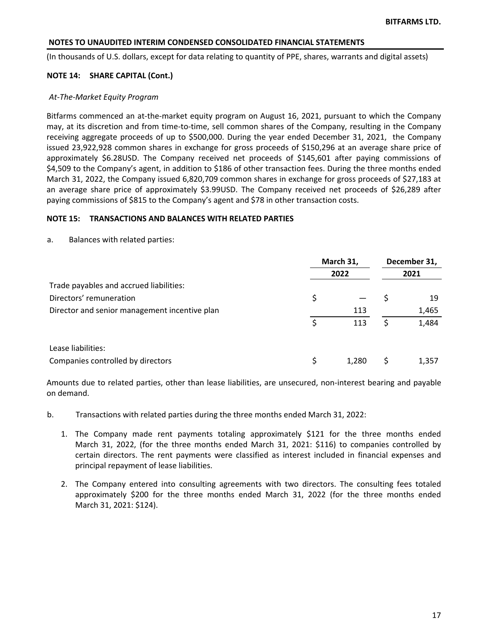(In thousands of U.S. dollars, except for data relating to quantity of PPE, shares, warrants and digital assets)

### **NOTE 14: SHARE CAPITAL (Cont.)**

#### At-The-Market Equity Program

Bitfarms commenced an at-the-market equity program on August 16, 2021, pursuant to which the Company may, at its discretion and from time-to-time, sell common shares of the Company, resulting in the Company receiving aggregate proceeds of up to \$500,000. During the year ended December 31, 2021, the Company issued 23,922,928 common shares in exchange for gross proceeds of \$150,296 at an average share price of approximately \$6.28USD. The Company received net proceeds of \$145,601 after paying commissions of \$4,509 to the Company's agent, in addition to \$186 of other transaction fees. During the three months ended March 31, 2022, the Company issued 6,820,709 common shares in exchange for gross proceeds of \$27,183 at an average share price of approximately \$3.99USD. The Company received net proceeds of \$26,289 after paying commissions of \$815 to the Company's agent and \$78 in other transaction costs.

#### **NOTE 15: TRANSACTIONS AND BALANCES WITH RELATED PARTIES**

a. Balances with related parties:

|                                               | March 31, |       | December 31, |       |
|-----------------------------------------------|-----------|-------|--------------|-------|
|                                               |           | 2022  |              | 2021  |
| Trade payables and accrued liabilities:       |           |       |              |       |
| Directors' remuneration                       |           |       |              | 19    |
| Director and senior management incentive plan |           | 113   |              | 1,465 |
|                                               | Ś         | 113   |              | 1,484 |
| Lease liabilities:                            |           |       |              |       |
| Companies controlled by directors             |           | 1,280 |              | 1,357 |

Amounts due to related parties, other than lease liabilities, are unsecured, non-interest bearing and payable on demand.

- b. Transactions with related parties during the three months ended March 31, 2022:
	- 1. The Company made rent payments totaling approximately \$121 for the three months ended March 31, 2022, (for the three months ended March 31, 2021: \$116) to companies controlled by certain directors. The rent payments were classified as interest included in financial expenses and principal repayment of lease liabilities.
	- 2. The Company entered into consulting agreements with two directors. The consulting fees totaled approximately \$200 for the three months ended March 31, 2022 (for the three months ended March 31, 2021: \$124).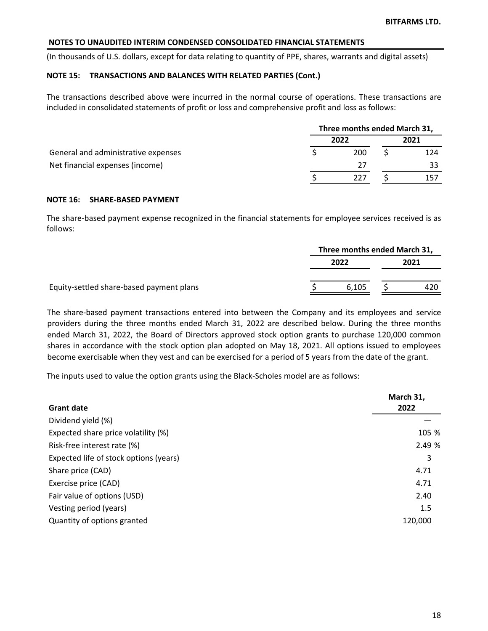(In thousands of U.S. dollars, except for data relating to quantity of PPE, shares, warrants and digital assets)

### **NOTE 15: TRANSACTIONS AND BALANCES WITH RELATED PARTIES (Cont.)**

The transactions described above were incurred in the normal course of operations. These transactions are included in consolidated statements of profit or loss and comprehensive profit and loss as follows:

|                                     | Three months ended March 31, |      |  |      |  |
|-------------------------------------|------------------------------|------|--|------|--|
|                                     |                              | 2022 |  | 2021 |  |
| General and administrative expenses |                              | 200  |  | 124  |  |
| Net financial expenses (income)     |                              | 77   |  | 33   |  |
|                                     |                              | 227  |  | 157  |  |

#### **NOTE 16: SHARE-BASED PAYMENT**

The share-based payment expense recognized in the financial statements for employee services received is as follows:

|                                          | Three months ended March 31, |       |      |     |
|------------------------------------------|------------------------------|-------|------|-----|
|                                          |                              | 2022  | 2021 |     |
| Equity-settled share-based payment plans |                              | 6.105 |      | 420 |

The share-based payment transactions entered into between the Company and its employees and service providers during the three months ended March 31, 2022 are described below. During the three months ended March 31, 2022, the Board of Directors approved stock option grants to purchase 120,000 common shares in accordance with the stock option plan adopted on May 18, 2021. All options issued to employees become exercisable when they vest and can be exercised for a period of 5 years from the date of the grant.

The inputs used to value the option grants using the Black-Scholes model are as follows:

|                                        | March 31, |
|----------------------------------------|-----------|
| <b>Grant date</b>                      | 2022      |
| Dividend yield (%)                     |           |
| Expected share price volatility (%)    | 105 %     |
| Risk-free interest rate (%)            | 2.49%     |
| Expected life of stock options (years) | 3         |
| Share price (CAD)                      | 4.71      |
| Exercise price (CAD)                   | 4.71      |
| Fair value of options (USD)            | 2.40      |
| Vesting period (years)                 | 1.5       |
| Quantity of options granted            | 120,000   |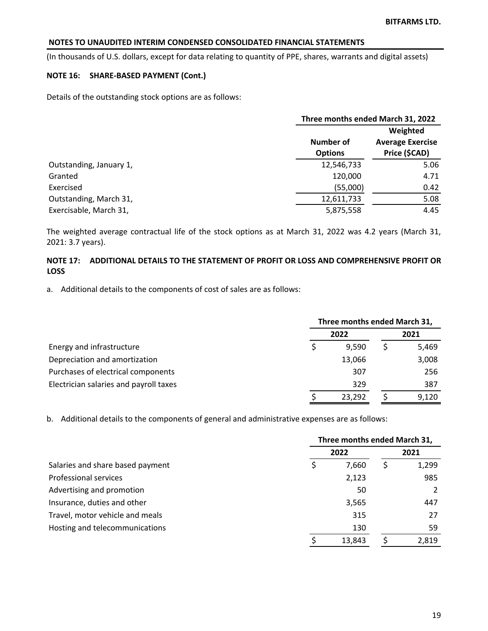(In thousands of U.S. dollars, except for data relating to quantity of PPE, shares, warrants and digital assets)

## **NOTE 16: SHARE-BASED PAYMENT (Cont.)**

Details of the outstanding stock options are as follows:

|                         |                             | Three months ended March 31, 2022                    |  |  |
|-------------------------|-----------------------------|------------------------------------------------------|--|--|
|                         | Number of<br><b>Options</b> | Weighted<br><b>Average Exercise</b><br>Price (\$CAD) |  |  |
| Outstanding, January 1, | 12,546,733                  | 5.06                                                 |  |  |
| Granted                 | 120,000                     | 4.71                                                 |  |  |
| Exercised               | (55,000)                    | 0.42                                                 |  |  |
| Outstanding, March 31,  | 12,611,733                  | 5.08                                                 |  |  |
| Exercisable, March 31,  | 5,875,558                   | 4.45                                                 |  |  |

The weighted average contractual life of the stock options as at March 31, 2022 was 4.2 years (March 31, 2021: 3.7 years).

## **NOTE 17: ADDITIONAL DETAILS TO THE STATEMENT OF PROFIT OR LOSS AND COMPREHENSIVE PROFIT OR LOSS**

a. Additional details to the components of cost of sales are as follows:

|                                        | Three months ended March 31, |        |  |       |
|----------------------------------------|------------------------------|--------|--|-------|
|                                        |                              | 2022   |  | 2021  |
| Energy and infrastructure              |                              | 9.590  |  | 5,469 |
| Depreciation and amortization          |                              | 13,066 |  | 3,008 |
| Purchases of electrical components     |                              | 307    |  | 256   |
| Electrician salaries and payroll taxes |                              | 329    |  | 387   |
|                                        |                              | 23,292 |  | 9,120 |

b. Additional details to the components of general and administrative expenses are as follows:

|                                  | Three months ended March 31, |        |  |       |
|----------------------------------|------------------------------|--------|--|-------|
|                                  |                              | 2022   |  | 2021  |
| Salaries and share based payment |                              | 7,660  |  | 1,299 |
| <b>Professional services</b>     |                              | 2,123  |  | 985   |
| Advertising and promotion        |                              | 50     |  |       |
| Insurance, duties and other      |                              | 3,565  |  | 447   |
| Travel, motor vehicle and meals  |                              | 315    |  | 27    |
| Hosting and telecommunications   |                              | 130    |  | 59    |
|                                  |                              | 13,843 |  | 2,819 |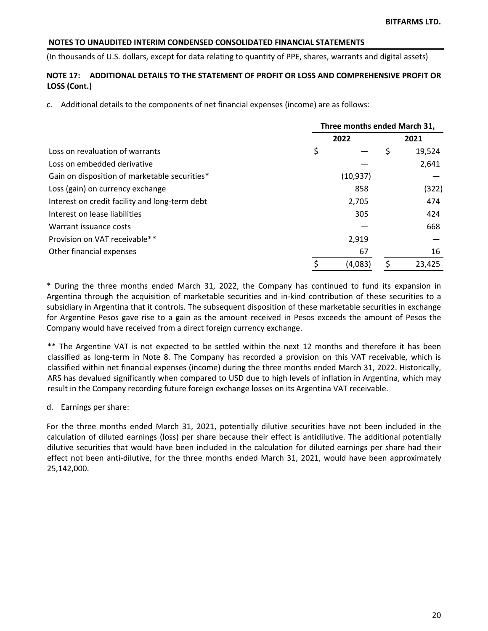(In thousands of U.S. dollars, except for data relating to quantity of PPE, shares, warrants and digital assets)

## **NOTE 17: ADDITIONAL DETAILS TO THE STATEMENT OF PROFIT OR LOSS AND COMPREHENSIVE PROFIT OR LOSS (Cont.)**

c. Additional details to the components of net financial expenses (income) are as follows:

|                                                | Three months ended March 31, |           |   |        |  |
|------------------------------------------------|------------------------------|-----------|---|--------|--|
|                                                |                              | 2022      |   | 2021   |  |
| Loss on revaluation of warrants                | \$                           |           |   | 19,524 |  |
| Loss on embedded derivative                    |                              |           |   | 2,641  |  |
| Gain on disposition of marketable securities*  |                              | (10, 937) |   |        |  |
| Loss (gain) on currency exchange               |                              | 858       |   | (322)  |  |
| Interest on credit facility and long-term debt |                              | 2,705     |   | 474    |  |
| Interest on lease liabilities                  |                              | 305       |   | 424    |  |
| Warrant issuance costs                         |                              |           |   | 668    |  |
| Provision on VAT receivable**                  |                              | 2,919     |   |        |  |
| Other financial expenses                       |                              | 67        |   | 16     |  |
|                                                | \$                           | (4,083)   | S | 23,425 |  |

\* During the three months ended March 31, 2022, the Company has continued to fund its expansion in Argentina through the acquisition of marketable securities and in-kind contribution of these securities to a subsidiary in Argentina that it controls. The subsequent disposition of these marketable securities in exchange for Argentine Pesos gave rise to a gain as the amount received in Pesos exceeds the amount of Pesos the Company would have received from a direct foreign currency exchange.

\*\* The Argentine VAT is not expected to be settled within the next 12 months and therefore it has been classified as long-term in Note 8. The Company has recorded a provision on this VAT receivable, which is classified within net financial expenses (income) during the three months ended March 31, 2022. Historically, ARS has devalued significantly when compared to USD due to high levels of inflation in Argentina, which may result in the Company recording future foreign exchange losses on its Argentina VAT receivable.

d. Earnings per share:

For the three months ended March 31, 2021, potentially dilutive securities have not been included in the calculation of diluted earnings (loss) per share because their effect is antidilutive. The additional potentially dilutive securities that would have been included in the calculation for diluted earnings per share had their effect not been anti-dilutive, for the three months ended March 31, 2021, would have been approximately 25,142,000.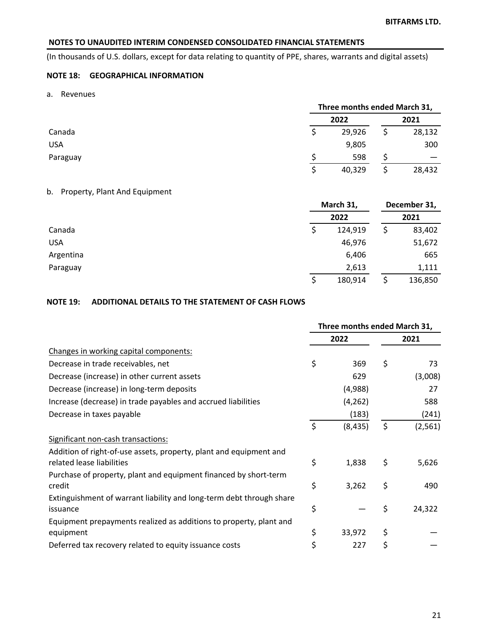(In thousands of U.S. dollars, except for data relating to quantity of PPE, shares, warrants and digital assets)

# **NOTE 18: GEOGRAPHICAL INFORMATION**

a. Revenues

|            | Three months ended March 31, |  |        |  |
|------------|------------------------------|--|--------|--|
|            | 2022                         |  | 2021   |  |
| Canada     | 29,926                       |  | 28,132 |  |
| <b>USA</b> | 9,805                        |  | 300    |  |
| Paraguay   | 598                          |  |        |  |
|            | 40,329                       |  | 28,432 |  |

### b. Property, Plant And Equipment

|            |   | March 31, |   | December 31, |  |
|------------|---|-----------|---|--------------|--|
|            |   | 2022      |   | 2021         |  |
| Canada     |   | 124,919   |   | 83,402       |  |
| <b>USA</b> |   | 46,976    |   | 51,672       |  |
| Argentina  |   | 6,406     |   | 665          |  |
| Paraguay   |   | 2,613     |   | 1,111        |  |
|            | Ŝ | 180,914   | S | 136,850      |  |

## **NOTE 19: ADDITIONAL DETAILS TO THE STATEMENT OF CASH FLOWS**

|                                                                                                 | Three months ended March 31, |          |      |          |
|-------------------------------------------------------------------------------------------------|------------------------------|----------|------|----------|
|                                                                                                 | 2022                         |          | 2021 |          |
| Changes in working capital components:                                                          |                              |          |      |          |
| Decrease in trade receivables, net                                                              | \$                           | 369      | \$   | 73       |
| Decrease (increase) in other current assets                                                     |                              | 629      |      | (3,008)  |
| Decrease (increase) in long-term deposits                                                       |                              | (4,988)  |      | 27       |
| Increase (decrease) in trade payables and accrued liabilities                                   |                              | (4, 262) |      | 588      |
| Decrease in taxes payable                                                                       |                              | (183)    |      | (241)    |
|                                                                                                 | \$                           | (8, 435) | \$   | (2, 561) |
| Significant non-cash transactions:                                                              |                              |          |      |          |
| Addition of right-of-use assets, property, plant and equipment and<br>related lease liabilities | \$                           | 1,838    | \$   | 5,626    |
| Purchase of property, plant and equipment financed by short-term<br>credit                      | \$                           | 3,262    | \$   | 490      |
| Extinguishment of warrant liability and long-term debt through share<br>issuance                | \$                           |          | \$   | 24,322   |
| Equipment prepayments realized as additions to property, plant and<br>equipment                 | \$                           | 33,972   | \$   |          |
| Deferred tax recovery related to equity issuance costs                                          | \$                           | 227      | \$   |          |